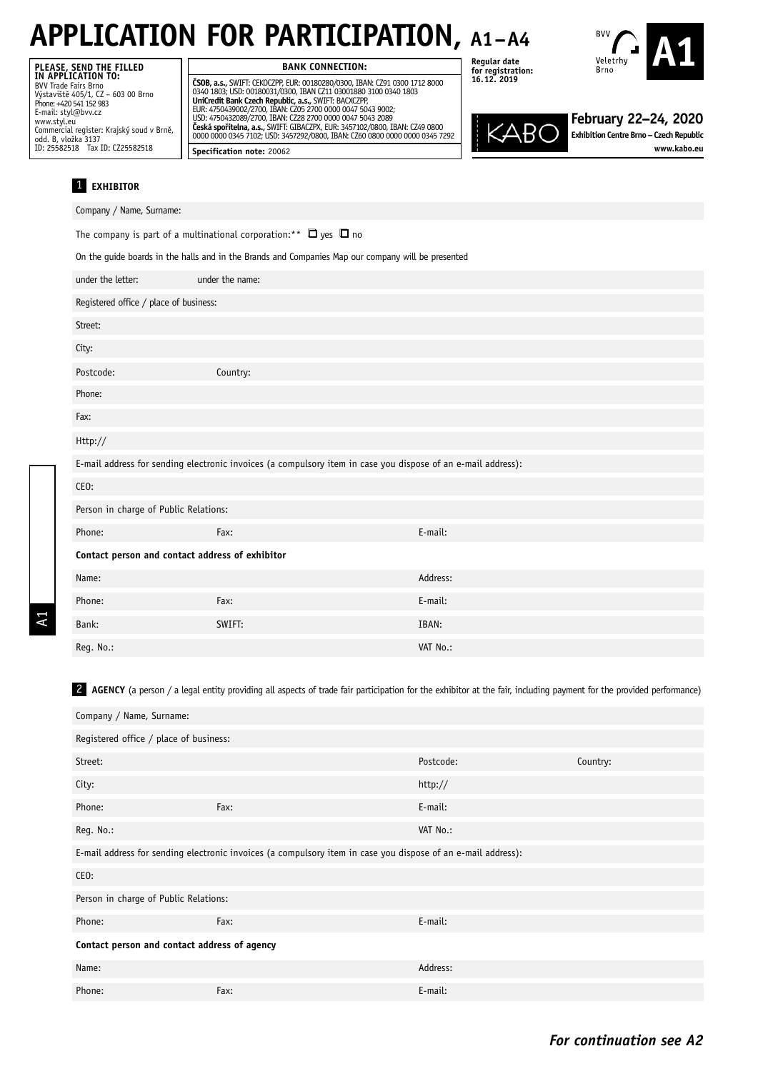**PLEASE, SEND THE FILLED<br><b>IN APPLICATION TO:**<br>BVV Trade Fairs Brno<br>Výstaviště 405/1, CZ – 603 00 Brno Phone: +420 541 152 983 E-mail: styl@bvv.cz www.styl.eu Commercial register: Krajský soud v Brně, odd. B, vložka 3137 ID: 25582518 Tax ID: CZ25582518

#### **BANK CONNECTION:**

**ČSOB, a.s.,** SWIFT: CEKOCZPP, EUR: 00180280/0300, IBAN: CZ91 0300 1712 8000<br>0340 1803; USD: 00180031/0300, IBAN CZ11 03001880 3100 0340 1803<br>**UniCredit Bank Czech Republic, a.s.**, SWIFT: BACKZZPP,<br>EUR: 4750439002/2700, IB **Česká spořitelna, a.s.,** SWIFT: GIBACZPX, EUR: 3457102/0800, IBAN: CZ49 0800 0000 0000 0345 7102; USD: 3457292/0800, IBAN: CZ60 0800 0000 0000 0345 7292 **Specification note:** 20062





**Regular date for registration: 16.12. 2019**

**Exhibition Centre Brno – Czech Republic www.kabo.eu**

### 1 **EXHIBITOR**

| Company / Name, Surname:                                                                           |                                                                                                              |          |  |  |  |
|----------------------------------------------------------------------------------------------------|--------------------------------------------------------------------------------------------------------------|----------|--|--|--|
| The company is part of a multinational corporation:** $\Box$ yes $\Box$ no                         |                                                                                                              |          |  |  |  |
| On the guide boards in the halls and in the Brands and Companies Map our company will be presented |                                                                                                              |          |  |  |  |
| under the letter:                                                                                  | under the name:                                                                                              |          |  |  |  |
| Registered office / place of business:                                                             |                                                                                                              |          |  |  |  |
| Street:                                                                                            |                                                                                                              |          |  |  |  |
| City:                                                                                              |                                                                                                              |          |  |  |  |
| Postcode:                                                                                          | Country:                                                                                                     |          |  |  |  |
| Phone:                                                                                             |                                                                                                              |          |  |  |  |
| Fax:                                                                                               |                                                                                                              |          |  |  |  |
| Http://                                                                                            |                                                                                                              |          |  |  |  |
|                                                                                                    | E-mail address for sending electronic invoices (a compulsory item in case you dispose of an e-mail address): |          |  |  |  |
| CEO:                                                                                               |                                                                                                              |          |  |  |  |
| Person in charge of Public Relations:                                                              |                                                                                                              |          |  |  |  |
| Phone:                                                                                             | Fax:                                                                                                         | E-mail:  |  |  |  |
| Contact person and contact address of exhibitor                                                    |                                                                                                              |          |  |  |  |
| Name:                                                                                              |                                                                                                              | Address: |  |  |  |
| Phone:                                                                                             | Fax:                                                                                                         | E-mail:  |  |  |  |
| Bank:                                                                                              | SWIFT:                                                                                                       | IBAN:    |  |  |  |
| Reg. No.:                                                                                          |                                                                                                              | VAT No.: |  |  |  |

2 AGENCY (a person / a legal entity providing all aspects of trade fair participation for the exhibitor at the fair, including payment for the provided performance)

| Company / Name, Surname:                                                                                     |      |           |          |  |  |
|--------------------------------------------------------------------------------------------------------------|------|-----------|----------|--|--|
| Registered office / place of business:                                                                       |      |           |          |  |  |
| Street:                                                                                                      |      | Postcode: | Country: |  |  |
| City:                                                                                                        |      | http://   |          |  |  |
| Phone:                                                                                                       | Fax: | E-mail:   |          |  |  |
| Reg. No.:                                                                                                    |      | VAT No.:  |          |  |  |
| E-mail address for sending electronic invoices (a compulsory item in case you dispose of an e-mail address): |      |           |          |  |  |
| CEO:                                                                                                         |      |           |          |  |  |
| Person in charge of Public Relations:                                                                        |      |           |          |  |  |
| Phone:                                                                                                       | Fax: | E-mail:   |          |  |  |
| Contact person and contact address of agency                                                                 |      |           |          |  |  |
| Name:                                                                                                        |      | Address:  |          |  |  |
| Phone:                                                                                                       | Fax: | E-mail:   |          |  |  |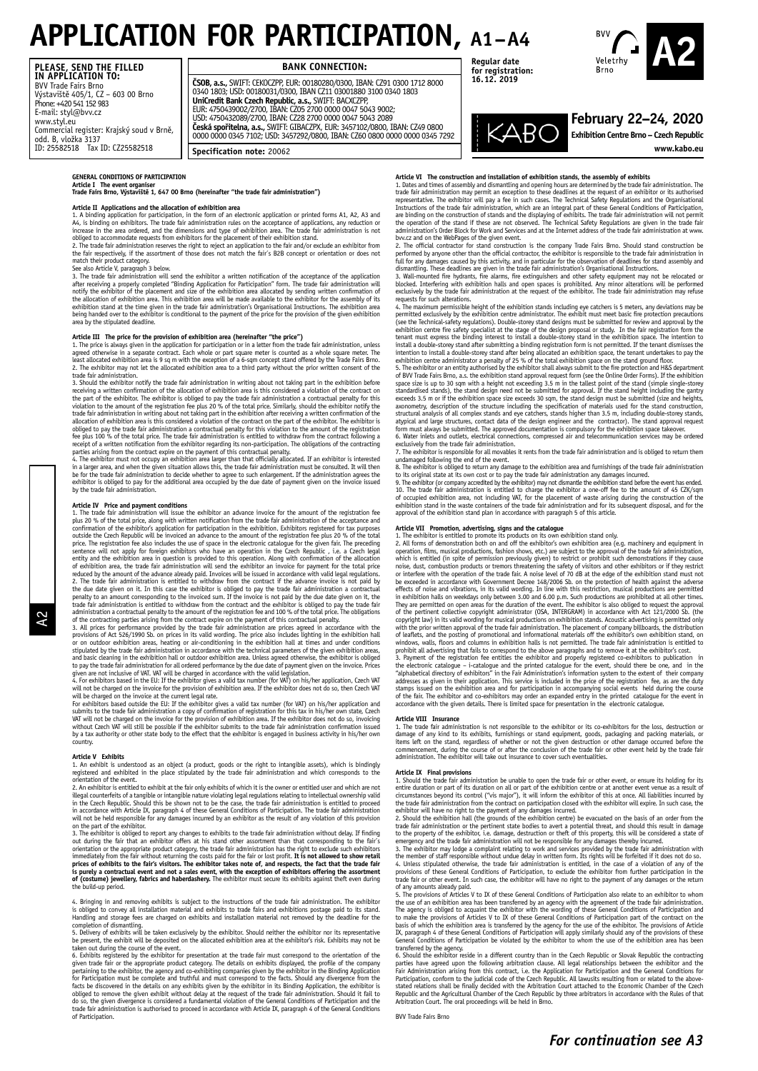**PLEASE, SEND THE FILLED IN APPLICATION TO:** BVV Trade Fairs Brno Výstaviště 405/1, CZ – 603 00 Brno Phone: +420 541 152 983 E-mail: styl@bvv.cz www.styl.eu Commercial register: Krajský soud v Brně, odd. B, vložka 3137 ID: 25582518 Tax ID: CZ25582518

**GENERAL CONDITIONS OF PARTICIPATION**

**Article II Applications and the allocation of exhibition area**

#### **BANK CONNECTION:**

**ČSOB, a.s.,** SWIFT: CEKOCZPP, EUR: 00180280/0300, IBAN: CZ91 0300 1712 8000 0340 1803; USD: 00180031/0300, IBAN CZ11 03001880 3100 0340 1803 **UniCredit Bank Czech Republic, a.s.,** SWIFT: BACXCZPP, EUR: 4750439002/2700, IBAN: CZ05 2700 0000 0047 5043 9002; USD: 4750432089/2700, IBAN: CZ28 2700 0000 0047 5043 2089 **Česká spořitelna, a.s.,** SWIFT: GIBACZPX, EUR: 3457102/0800, IBAN: CZ49 0800 0000 0000 0345 7102; USD: 3457292/0800, IBAN: CZ60 0800 0000 0000 0345 7292

**Specification note:** 20062

1. A binding application for participation, in the form of an electronic application or printed forms A1, A2, A3 and M<sub>4</sub>, is binding on exhibitions. The trade fair administration icles on the accelerance of applications,

after receiving a properly completed "Binding Application for Participation" form. The trade fair administration will<br>notify the exhibitor of the placement and size of the exhibition area allocated by sending written confi

**Article III** The price for the provision of exhibition area (hereinafter "the price")<br>1. The price is always given in the application for participation or in a letter from the trade fair administration, unless<br>agreed othe

should the exhibition notify the trade fair administration in writing about not taking part in the exhibition before<br>3. Should the exhibitior notify the trade fair administration of exhibition area is this considered a vio

receiving a written confirmation of the allocation of exhibition area is this considered a violation of the contact on<br>the part of the exhibitor. The exhibitor is obliged to pay the trade fair administration a contractual

receipt of a written notification from the exhibitor regarding its non-participation. The obligations of the contracting parties arising from the contract expire on the payment of this contract expired. The exhibitor must

**Article IV Price and payment conditions** 1. The trade fair administration will issue the exhibitor an advance invoice for the amount of the registration fee<br>plus 20 % of the total price, along with written notification from the trade fair administration of the ac

Article I The event organiser<br>Trade Fairs Brno, Výstaviště 1, 647 00 Brno (hereinafter "the trade fair administration")

KABC

### **February 22–24, 2020**

**Exhibition Centre Brno – Czech Republic www.kabo.eu**

#### **Article VI The construction and installation of exhibition stands, the assembly of exhibits**

**Regular date for registration: 16.12. 2019**

1. Dates and times of assembly and dismantling and opening hours are determined by the trade fair administration. The trade fair administration may permit an exception to three deadlines at the request of an exhibitor or i

administration's Order Block for Work and Services and at the Internet address of the trade fair administration at www.<br>bwxz and on the WebPages of the given event.<br>2. The official contractor for stand construction is the

3. Wall-mounted fire hydrants, fire alarms, fire extinguishers and other safety equipment may not be relocated or blocked. Interfering with exhibition halls and open spaces is prohibited. Any minor alterations will be performed<br>exclusively by the trade fair administration at the request of the exhibitor. The trade fair administration

4. The maximum permissible height of the exhibition stands including eye catchers is 5 meters, any deviation stands in equilible. The exhibit must meet basic fire protection precautions (see the Technical-safety regulatio

7. The exhibition is responsible for all movables it rents from the trade fair administration and is obliged to return them undamaged following the end of the event. As the exhibition area and furnishings of the trade fai approval of the exhibition stand plan in accordance with paragraph 5 of this article.

**Article VII Promotion, advertising, signs and the catalogue**<br>1. The exhibitor is entitled to promote its products on its own exhibition stand only.<br>2. All forms of demonstration both on and off the exhibitor's own exhibit which is entitled (in spire of permission previously given) to restrict or probibit such demonstrations if they acuse one only in the sected of visitors and other exhibitors or if they estrict or interfere with the operat

the electronic catalogue – i-catalogue and the printed catalogue for the event, should there be one, and in the radiatesical directory of exhibitors" in the Fair Administrations information system to the extent of their c

#### **Article VIII Insurance**

1. The trade fair administration is not responsible to the exhibitor or its co-exhibitors for the loss, destruction or damage of any kind to its exhibitors and equipment, goods, packaging and packing materials, or damage o administration. The exhibitor will take out insurance to cover such eventualities.

#### **Article IX Final provisions**

1. Should the trade fair administration be unable to open the trade fair or other event, or ensure its holding for its entire duration or part of its duration on all or part of the exhibition centre or at another event venue as a result of circumstances beyond its control ("vis major"), it will inform the exhibitor of this at once. All lia

trade fair administration or the pertienent state boties to avert a potential threat, and should this result in damage and the transport of the property, this will be considered a state of entergancy and the trade fair adm

trade fair or other event. In such case, the exhibitor will have no right to the payment of any damages or the return<br>of any amounts already paid.<br>5. The provisions of Articles V to IX of these General Conditions of Partic

6. Should the exhibitor reside in a different country than in the Czech Republic or Slovak Republic the contracting<br>parties have agreed upon the following arbitration clause. All legal relationships between the exhibitor a

BVV Trade Fairs Brno

entity and the exhibition area in question is provided to this operation. Along with confirmation of the allocation<br>of exhibition area, the trade fair administration will send the exhibitor an invoice for payment for the t

A2

by the trade fair administration.

administration a contractual penalty to the amount of the registration fee and 100 % of the contraction parties arising from the contract expire on the payment of this contractual penalty.<br>3. All prices for performance pro

country.

#### **Article V Exhibits**

1. An exhibit is understood as an object (a product, goods or the right to intangible assets), which is bindingly<br>registered and exhibited in the place stipulated by the trade fair administration and which corresponds to t orientation of the event.

2. An exhibitor is entitled to exhibit at the fair only exhibits of which it is the owner or entitled user and which are not illegal counterfeits of a tangible or intangible nature violating legal regulations relating to intellectual ownership valid<br>in the Czech Republic. Should this be shown not to be the case, the trade fair administration is on the part of the exhibitor.

3. The exhibitor is obliged to report any changes to exhibits to the trade fair administration without delay. If finding order during the fair stand of the correction or the appropriate product category, the trade fair ad

4. Bringing in and removing exhibits is subject to the instructions of the trade fair administration. The exhibitor<br>is obliged to convey all installation material and exhibits to trade fairs and exhibitions postage paid to

completion of dismantling.<br>5. Deliveny of exhibits will be taken exclusively by the exhibitor. Should neither the exhibitor nor its representative<br>be present, the exhibit will be deposited on the allocated exhibition area

taken out during the course of the event.<br>
The course of the event of the exhibits registered by the exhibitor for presentation at the trade fair must correspond to the orientation of the<br>
given trade fair or the appropria

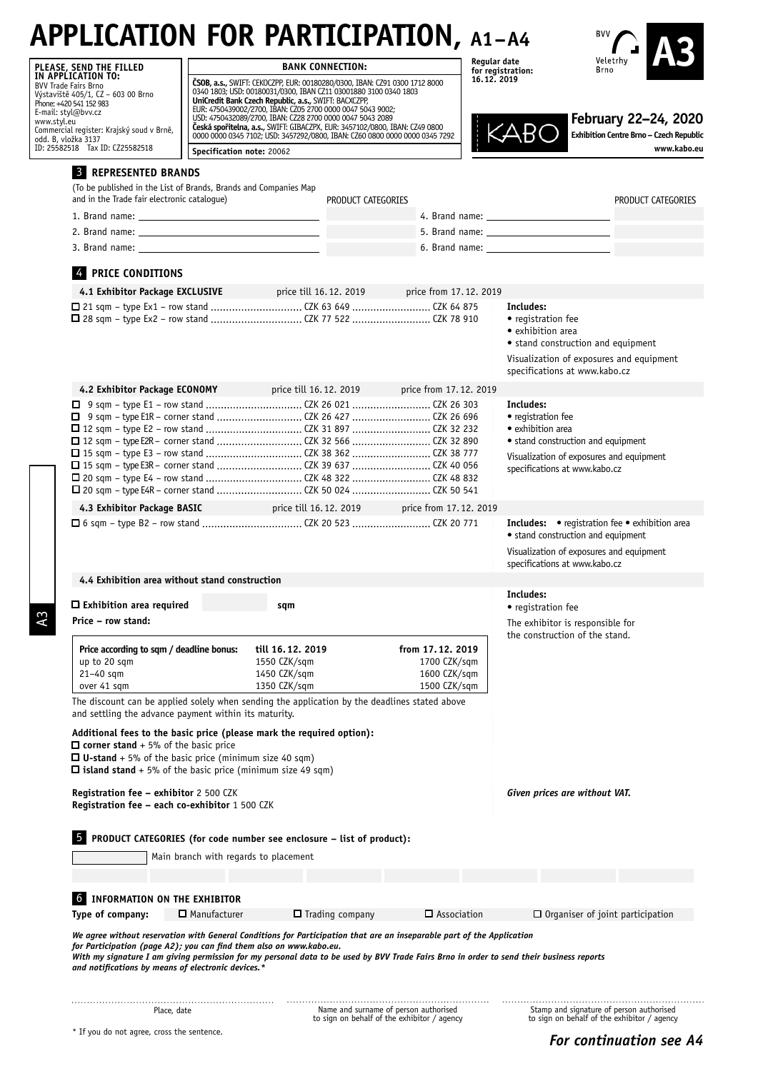**Specification note:** 20062

**PLEASE, SEND THE FILLED<br><b>IN APPLICATION TO:**<br>BVV Trade Fairs Brno<br>Výstaviště 405/1, CZ – 603 00 Brno Phone: +420 541 152 983 E-mail: styl@bvv.cz www.styl.eu Commercial register: Krajský soud v Brně, odd. B, vložka 3137 ID: 25582518 Tax ID: CZ25582518

#### **BANK CONNECTION:**

**ČSOB, a.s.,** SWIFT: CEKOCZPP, EUR: 00180280/0300, IBAN: CZ91 0300 1712 8000 0340 1803; USD: 00180031/0300, IBAN CZ11 03001880 3100 0340 1803<br>**UniCredit Bank Czech Republic, a.s.,** SWIFT: BACKCZPP,<br>EUR: 4750439002/2700, IBAN: CZ05 2700 0000 0047 5043 9002;<br>USD: 4750432089/2700, IBAN: CZ28 2700 0000 **Česká spořitelna, a.s.,** SWIFT: GIBACZPX, EUR: 3457102/0800, IBAN: CZ49 0800 0000 0000 0345 7102; USD: 3457292/0800, IBAN: CZ60 0800 0000 0000 0345 7292 **Regular date for registration: 16.12. 2019**





### **February 22–24, 2020 Exhibition Centre Brno – Czech Republic**

**www.kabo.eu**

| and in the Trade fair electronic catalogue)                       |                                       |                                                                                               | PRODUCT CATEGORIES |                        |                                                                                                                                                            | PRODUCT CATEGORIES |
|-------------------------------------------------------------------|---------------------------------------|-----------------------------------------------------------------------------------------------|--------------------|------------------------|------------------------------------------------------------------------------------------------------------------------------------------------------------|--------------------|
|                                                                   |                                       |                                                                                               |                    |                        |                                                                                                                                                            |                    |
|                                                                   |                                       |                                                                                               |                    |                        |                                                                                                                                                            |                    |
|                                                                   |                                       |                                                                                               |                    |                        |                                                                                                                                                            |                    |
| <b>4 PRICE CONDITIONS</b>                                         |                                       |                                                                                               |                    |                        |                                                                                                                                                            |                    |
| 4.1 Exhibitor Package EXCLUSIVE                                   |                                       | price till 16.12. 2019                                                                        |                    | price from 17.12. 2019 |                                                                                                                                                            |                    |
|                                                                   |                                       |                                                                                               |                    |                        | Includes:                                                                                                                                                  |                    |
|                                                                   |                                       |                                                                                               |                    |                        | • registration fee<br>• exhibition area<br>• stand construction and equipment<br>Visualization of exposures and equipment<br>specifications at www.kabo.cz |                    |
|                                                                   |                                       | 4.2 Exhibitor Package ECONOMY price till 16.12. 2019 price from 17.12. 2019                   |                    |                        |                                                                                                                                                            |                    |
|                                                                   |                                       |                                                                                               |                    |                        | Includes:                                                                                                                                                  |                    |
|                                                                   |                                       |                                                                                               |                    |                        | • registration fee                                                                                                                                         |                    |
|                                                                   |                                       |                                                                                               |                    |                        | • exhibition area                                                                                                                                          |                    |
|                                                                   |                                       |                                                                                               |                    |                        | • stand construction and equipment                                                                                                                         |                    |
|                                                                   |                                       |                                                                                               |                    |                        | Visualization of exposures and equipment                                                                                                                   |                    |
|                                                                   |                                       |                                                                                               |                    |                        | specifications at www.kabo.cz                                                                                                                              |                    |
|                                                                   |                                       |                                                                                               |                    |                        |                                                                                                                                                            |                    |
|                                                                   |                                       |                                                                                               |                    |                        |                                                                                                                                                            |                    |
|                                                                   |                                       | 4.3 Exhibitor Package BASIC price till 16.12. 2019 price from 17.12. 2019                     |                    |                        |                                                                                                                                                            |                    |
|                                                                   |                                       |                                                                                               |                    |                        | Includes: • registration fee • exhibition area                                                                                                             |                    |
|                                                                   |                                       |                                                                                               |                    |                        | • stand construction and equipment                                                                                                                         |                    |
|                                                                   |                                       |                                                                                               |                    |                        | Visualization of exposures and equipment                                                                                                                   |                    |
|                                                                   |                                       |                                                                                               |                    |                        | specifications at www.kabo.cz                                                                                                                              |                    |
| 4.4 Exhibition area without stand construction                    |                                       |                                                                                               |                    |                        | Includes:                                                                                                                                                  |                    |
|                                                                   |                                       | sqm                                                                                           |                    |                        | • registration fee                                                                                                                                         |                    |
|                                                                   |                                       |                                                                                               |                    |                        | The exhibitor is responsible for                                                                                                                           |                    |
| Price according to sqm / deadline bonus:                          |                                       | till 16.12. 2019                                                                              |                    | from 17.12.2019        | the construction of the stand.                                                                                                                             |                    |
| up to 20 sqm                                                      |                                       | 1550 CZK/sqm                                                                                  |                    | 1700 CZK/sqm           |                                                                                                                                                            |                    |
| $21 - 40$ sqm                                                     |                                       | 1450 CZK/sqm                                                                                  |                    | 1600 CZK/sqm           |                                                                                                                                                            |                    |
| over 41 sqm                                                       |                                       | 1350 CZK/sqm                                                                                  |                    | 1500 CZK/sqm           |                                                                                                                                                            |                    |
| $\Box$ Exhibition area required<br>Price – row stand:             |                                       | The discount can be applied solely when sending the application by the deadlines stated above |                    |                        |                                                                                                                                                            |                    |
|                                                                   |                                       |                                                                                               |                    |                        |                                                                                                                                                            |                    |
| and settling the advance payment within its maturity.             |                                       | Additional fees to the basic price (please mark the required option):                         |                    |                        |                                                                                                                                                            |                    |
| $\Box$ corner stand + 5% of the basic price                       |                                       |                                                                                               |                    |                        |                                                                                                                                                            |                    |
| $\Box$ U-stand + 5% of the basic price (minimum size 40 sqm)      |                                       |                                                                                               |                    |                        |                                                                                                                                                            |                    |
| $\Box$ island stand + 5% of the basic price (minimum size 49 sqm) |                                       |                                                                                               |                    |                        |                                                                                                                                                            |                    |
| Registration fee - exhibitor 2 500 CZK                            |                                       |                                                                                               |                    |                        | Given prices are without VAT.                                                                                                                              |                    |
|                                                                   |                                       |                                                                                               |                    |                        |                                                                                                                                                            |                    |
|                                                                   |                                       |                                                                                               |                    |                        |                                                                                                                                                            |                    |
| 5                                                                 |                                       | PRODUCT CATEGORIES (for code number see enclosure - list of product):                         |                    |                        |                                                                                                                                                            |                    |
|                                                                   | Main branch with regards to placement |                                                                                               |                    |                        |                                                                                                                                                            |                    |
| Registration fee - each co-exhibitor 1 500 CZK                    |                                       |                                                                                               |                    |                        |                                                                                                                                                            |                    |
|                                                                   |                                       |                                                                                               |                    |                        |                                                                                                                                                            |                    |
| <b>6 INFORMATION ON THE EXHIBITOR</b><br>Type of company:         | $\Box$ Manufacturer                   | $\Box$ Trading company                                                                        |                    | $\Box$ Association     | $\Box$ Organiser of joint participation                                                                                                                    |                    |

A3

Place, date **Name and surname of person authorised**<br>to sign on behalf of the exhibitor / agency

. . . . . . . . . . . . .

. . . . . . . . . . Stamp and signature of person authorised to sign on behalf of the exhibitor / agency

\* If you do not agree, cross the sentence.

. . . . . . . . . .

*For continuation see A4*

. . . . . . . . . .